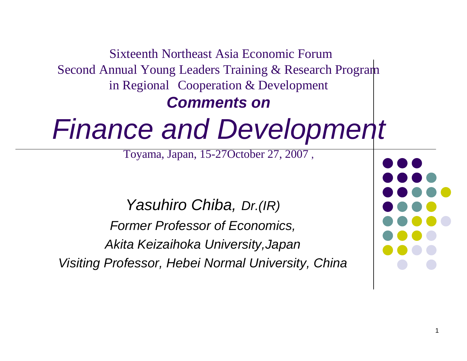Sixteenth Northeast Asia Economic Forum Second Annual Young Leaders Training & Research Program in Regional Cooperation & Development

### **Comments on**

# Finance and Development

Toyama, Japan, 15-27October 27, 2007 ,

Yasuhiro Chiba, Dr.(IR) Former Professor of Economics, Akita Keizaihoka University,JapanVisiting Professor, Hebei Normal University, China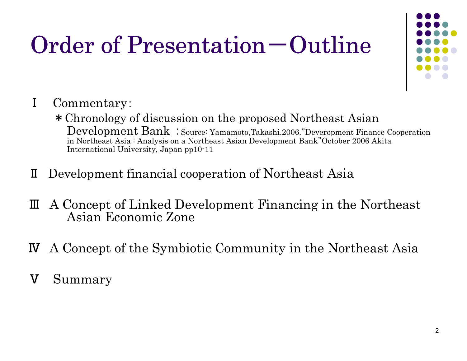# Order of Presentation — Outline



- Ⅰ Commentary:
	- \*Chronology of discussion on the proposed Northeast Asian Development Bank : Source: Yamamoto,Takashi.2006."Deveropment Finance Cooperation in Northeast Asia : Analysis on a Northeast Asian Development Bank"October 2006 Akita International University, Japan pp10-11
- ⅡDevelopment financial cooperation of Northeast Asia
- Ⅲ A Concept of Linked Development Financing in the Northeast Asian Economic Zone
- ⅣA Concept of the Symbiotic Community in the Northeast Asia
- ⅤSummary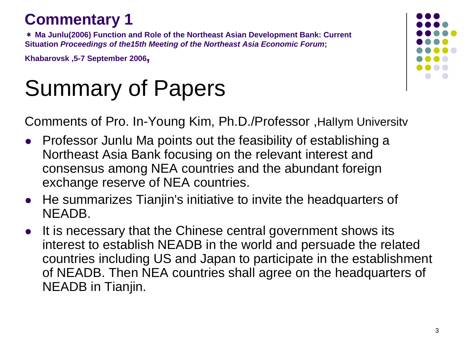### **Commentary 1**

 \* **Ma Junlu(2006) Function and Role of the Northeast Asian Development Bank: Current Situation Proceedings of the15th Meeting of the Northeast Asia Economic Forum;** 

**Khabarovsk ,5-7 September 2006,**

## Summary of Papers

Comments of Pro. In-Young Kim, Ph.D./Professor ,HalIym Universitv

- $\bullet$  Professor Junlu Ma points out the feasibility of establishing a Northeast Asia Bank focusing on the relevant interest and consensus among NEA countries and the abundant foreign exchange reserve of NEA countries.
- $\bullet$  He summarizes Tianjin's initiative to invite the headquarters of NEADB.
- $\bullet$  It is necessary that the Chinese central government shows its interest to establish NEADB in the world and persuade the related countries including US and Japan to participate in the establishment of NEADB. Then NEA countries shall agree on the headquarters of NEADB in Tianjin.

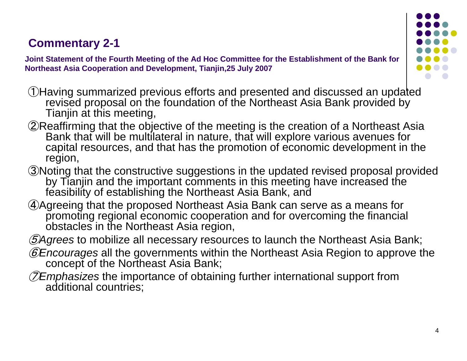### **Commentary 2-1**

**Joint Statement of the Fourth Meeting of the Ad Hoc Committee for the Establishment of the Bank for Northeast Asia Cooperation and Development, Tianjin,25 July 2007**



- ①Having summarized previous efforts and presented and discussed an updated revised proposal on the foundation of the Northeast Asia Bank provided by Tianjin at this meeting,
- ②Reaffirming that the objective of the meeting is the creation of a Northeast Asia Bank that will be multilateral in nature, that will explore various avenues for capital resources, and that has the promotion of economic development in the region,
- ③Noting that the constructive suggestions in the updated revised proposal provided by Tianjin and the important comments in this meeting have increased the feasibility of establishing the Northeast Asia Bank, and
- ④Agreeing that the proposed Northeast Asia Bank can serve as a means for promoting regional economic cooperation and for overcoming the financial obstacles in the Northeast Asia region,
- $\mathcal{D}$ Agrees to mobilize all necessary resources to launch the Northeast Asia Bank;
- ⑥Encourages all the governments within the Northeast Asia Region to approve the concept of the Northeast Asia Bank;
- ⑦Emphasizes the importance of obtaining further international support from additional countries;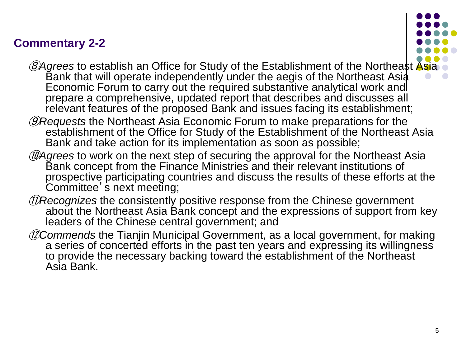### **Commentary 2-2**



- *@Agrees* to establish an Office for Study of the Establishment of the Northeast Asia Bank that will operate independently under the aegis of the Northeast Asia Economic Forum to carry out the required substantive analytical work and prepare a comprehensive, updated report that describes and discusses all relevant features of the proposed Bank and issues facing its establishment;
- ⑨Requests the Northeast Asia Economic Forum to make preparations for the establishment of the Office for Study of the Establishment of the Northeast Asia Bank and take action for its implementation as soon as possible;
- DAgrees to work on the next step of securing the approval for the Northeast Asia Bank concept from the Finance Ministries and their relevant institutions of prospective participating countries and discuss the results of these efforts at the<br>Committee' s next meeting;
- DRecognizes the consistently positive response from the Chinese government about the Northeast Asia Bank concept and the expressions of support from key leaders of the Chinese central government; and
- 12 Commends the Tianjin Municipal Government, as a local government, for making a series of concerted efforts in the past ten years and expressing its willingness to provide the necessary backing toward the establishment of the Northeast Asia Bank.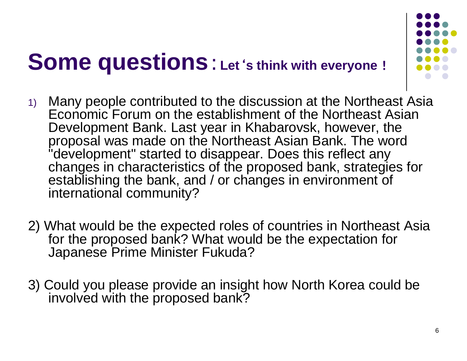### **Some questions**:**Let**'**s think with everyone**!



- 1) Many people contributed to the discussion at the Northeast Asia Economic Forum on the establishment of the Northeast Asian Development Bank. Last year in Khabarovsk, however, the proposal was made on the Northeast Asian Bank. The word "development" started to disappear. Does this reflect any changes in characteristics of the proposed bank, strategies for establishing the bank, and / or changes in environment of international community?
- 2) What would be the expected roles of countries in Northeast Asia for the proposed bank? What would be the expectation for Japanese Prime Minister Fukuda?
- 3) Could you please provide an insight how North Korea could be involved with the proposed bank?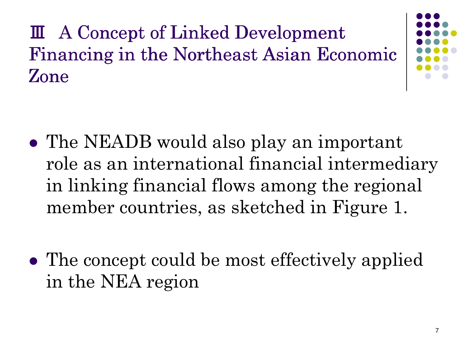Ⅲ A Concept of Linked Development Financing in the Northeast Asian Economic Zone



- $\bullet$  The NEADB would also play an important role as an international financial intermediary in linking financial flows among the regional member countries, as sketched in Figure 1.
- $\bullet$ • The concept could be most effectively applied in the NEA region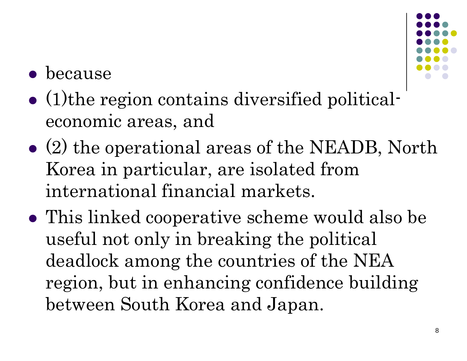

#### $\bullet$ because

- $\bullet$  (1)the region contains diversified politicaleconomic areas, and
- $\bullet$  (2) the operational areas of the NEADB, North Korea in particular, are isolated from international financial markets.
- $\bullet$  This linked cooperative scheme would also be useful not only in breaking the political deadlock among the countries of the NEA region, but in enhancing confidence building between South Korea and Japan.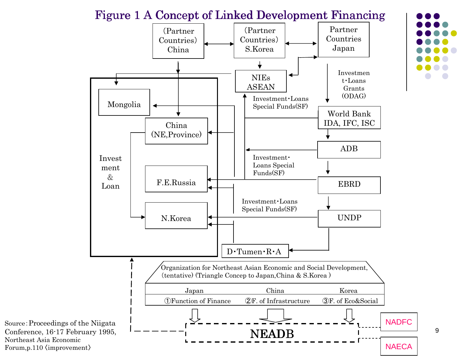#### Figure 1 A Concept of Linked Development Financing



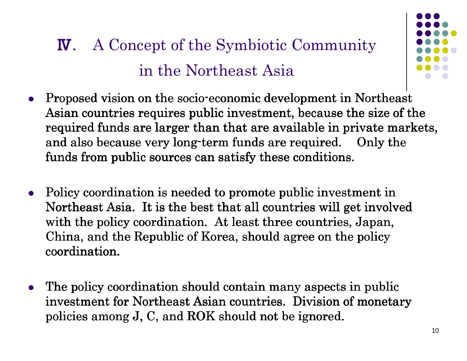### Ⅳ. A Concept of the Symbiotic Community in the Northeast Asia



- $\bullet$ Proposed vision on the socio-economic development in Northeast Asian countries requires public investment, because the size of the required funds are larger than that are available in private markets, and also because very long-term funds are required.  $\quad$  Only the  $\,$ funds from public sources can satisfy these conditions.
- $\bullet$  Policy coordination is needed to promote public investment in Northeast Asia. It is the best that all countries will get involved with the policy coordination. At least three countries, Japan, China, and the Republic of Korea, should agree on the policy coordination.
- The policy coordination should contain many aspects in public investment for Northeast Asian countries. Division of monetary policies among J, C, and ROK should not be ignored.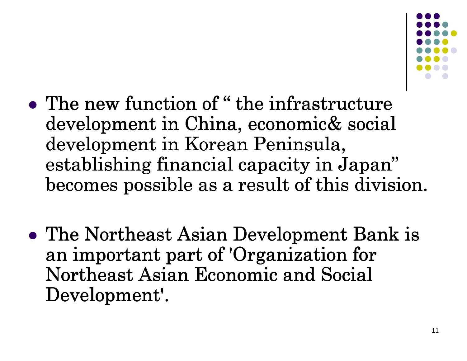

- $\bullet$ • The new function of " the infrastructure double new infrastructure development in China, economic& social<br>development in Koroan Peninsula development in Korean Peninsula,  ${\rm estabilishing}$  financial capacity in  ${\rm Japan}$ becomes possible as a result of this division.
- $\bullet$ • The Northeast Asian Development Bank is an important part of 'Organization for Northeast Asian Economic and Social Development'.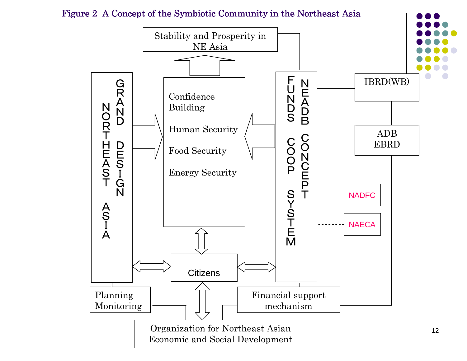

Figure 2 A Concept of the Symbiotic Community in the Northeast Asia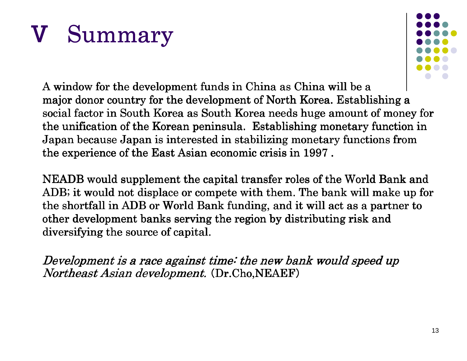# Ⅴ Summary



A window for the development funds in China as China will be a major donor country for the development of North Korea. Establishing a social factor in South Korea as South Korea needs huge amount of money for the unification of the Korean peninsula. Establishing monetary function in Japan because Japan is interested in stabilizing monetary functions from the experience of the East Asian economic crisis in  $1997$  .

NEADB would supplement the capital transfer roles of the World Bank and ADB; it would not displace or compete with them. The bank will make up for the shortfall in ADB or World Bank funding, and it will act as a partner to other development banks serving the region by distributing risk and diversifying the source of capital.

Development is a race against time: the new bank would speed upNortheast Asian development. (Dr.Cho,NEAEF)